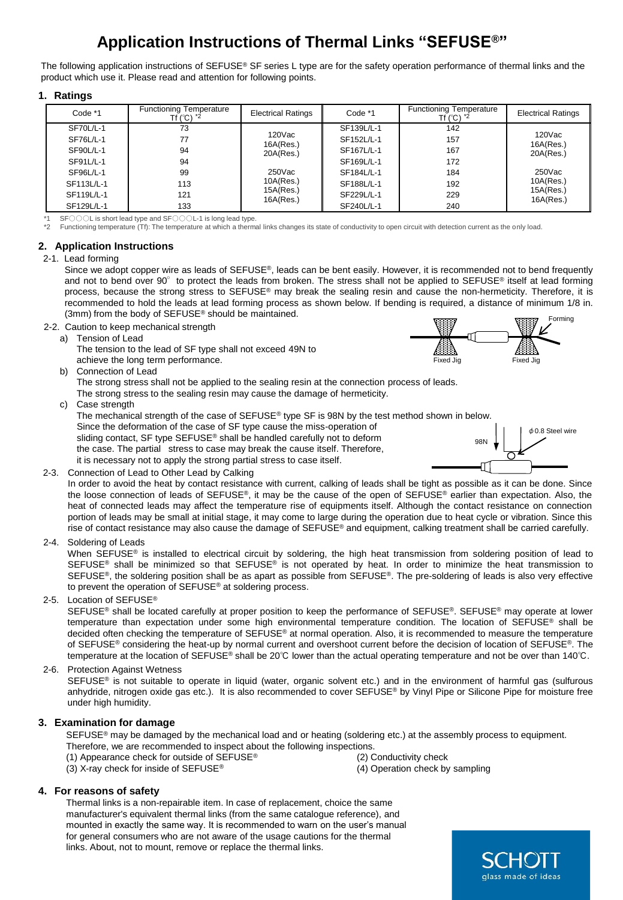# **Application Instructions of Thermal Links "SEFUSE®"**

The following application instructions of SEFUSE® SF series L type are for the safety operation performance of thermal links and the product which use it. Please read and attention for following points.

## **1. Ratings**

| Code *1    | <b>Functioning Temperature</b><br>Tf (°C) * <sup>2</sup> | <b>Electrical Ratings</b> | Code *1    | <b>Functioning Temperature</b><br>Tf $(^{\circ}C)$ $^{\star}2$ | <b>Electrical Ratings</b> |
|------------|----------------------------------------------------------|---------------------------|------------|----------------------------------------------------------------|---------------------------|
| SF70L/L-1  | 73                                                       |                           | SF139L/L-1 | 142                                                            |                           |
| SF76L/L-1  | 77                                                       | 120Vac<br>16A(Res.)       | SF152L/L-1 | 157                                                            | 120Vac<br>16A(Res.)       |
| SF90L/L-1  | 94                                                       | 20A(Res.)                 | SF167L/L-1 | 167                                                            | 20A(Res.)                 |
| SF91L/L-1  | 94                                                       |                           | SF169L/L-1 | 172                                                            |                           |
| SF96L/L-1  | 99                                                       | 250Vac                    | SF184L/L-1 | 184                                                            | 250Vac                    |
| SF113L/L-1 | 113                                                      | 10A(Res.)                 | SF188L/L-1 | 192                                                            | 10A(Res.)                 |
| SF119L/L-1 | 121                                                      | 15A(Res.)<br>16A(Res.)    | SF229L/L-1 | 229                                                            | 15A(Res.)<br>16A(Res.)    |
| SF129L/L-1 | 133                                                      |                           | SF240L/L-1 | 240                                                            |                           |

\*1 SF○○○L is short lead type and SF○○○L-1 is long lead type.

\*2 Functioning temperature (Tf): The temperature at which a thermal links changes its state of conductivity to open circuit with detection current as the only load.

## **2. Application Instructions**

## 2-1. Lead forming

Since we adopt copper wire as leads of SEFUSE®, leads can be bent easily. However, it is recommended not to bend frequently and not to bend over 90° to protect the leads from broken. The stress shall not be applied to SEFUSE® itself at lead forming process, because the strong stress to SEFUSE® may break the sealing resin and cause the non-hermeticity. Therefore, it is recommended to hold the leads at lead forming process as shown below. If bending is required, a distance of minimum 1/8 in. (3mm) from the body of SEFUSE® should be maintained. Forming

- 2-2. Caution to keep mechanical strength
	- a) Tension of Lead
		- The tension to the lead of SF type shall not exceed 49N to achieve the long term performance.
	- b) Connection of Lead

The strong stress shall not be applied to the sealing resin at the connection process of leads. The strong stress to the sealing resin may cause the damage of hermeticity.

c) Case strength

The mechanical strength of the case of SEFUSE® type SF is 98N by the test method shown in below.

Since the deformation of the case of SF type cause the miss-operation of sliding contact, SF type SEFUSE<sup>®</sup> shall be handled carefully not to deform the case. The partial stress to case may break the cause itself. Therefore, it is necessary not to apply the strong partial stress to case itself.



Fixed Jig Fixed Jig

2-3. Connection of Lead to Other Lead by Calking

In order to avoid the heat by contact resistance with current, calking of leads shall be tight as possible as it can be done. Since the loose connection of leads of SEFUSE®, it may be the cause of the open of SEFUSE® earlier than expectation. Also, the heat of connected leads may affect the temperature rise of equipments itself. Although the contact resistance on connection portion of leads may be small at initial stage, it may come to large during the operation due to heat cycle or vibration. Since this rise of contact resistance may also cause the damage of SEFUSE® and equipment, calking treatment shall be carried carefully.

2-4. Soldering of Leads

When SEFUSE® is installed to electrical circuit by soldering, the high heat transmission from soldering position of lead to SEFUSE<sup>®</sup> shall be minimized so that SEFUSE<sup>®</sup> is not operated by heat. In order to minimize the heat transmission to SEFUSE<sup>®</sup>, the soldering position shall be as apart as possible from SEFUSE®. The pre-soldering of leads is also very effective to prevent the operation of SEFUSE® at soldering process.

## 2-5. Location of SEFUSE®

SEFUSE<sup>®</sup> shall be located carefully at proper position to keep the performance of SEFUSE®. SEFUSE® may operate at lower temperature than expectation under some high environmental temperature condition. The location of SEFUSE® shall be decided often checking the temperature of SEFUSE® at normal operation. Also, it is recommended to measure the temperature of SEFUSE® considering the heat-up by normal current and overshoot current before the decision of location of SEFUSE®. The temperature at the location of SEFUSE® shall be 20℃ lower than the actual operating temperature and not be over than 140℃.

2-6. Protection Against Wetness

SEFUSE® is not suitable to operate in liquid (water, organic solvent etc.) and in the environment of harmful gas (sulfurous anhydride, nitrogen oxide gas etc.). It is also recommended to cover SEFUSE® by Vinyl Pipe or Silicone Pipe for moisture free under high humidity.

## **3. Examination for damage**

SEFUSE<sup>®</sup> may be damaged by the mechanical load and or heating (soldering etc.) at the assembly process to equipment.

- Therefore, we are recommended to inspect about the following inspections.
- (1) Appearance check for outside of SEFUSE® (2) Conductivity check
- (3) X-ray check for inside of  $SEFUSE^{\circledast}$  (4) Operation check by sampling

## **4. For reasons of safety**

Thermal links is a non-repairable item. In case of replacement, choice the same manufacturer's equivalent thermal links (from the same catalogue reference), and mounted in exactly the same way. It is recommended to warn on the user's manual for general consumers who are not aware of the usage cautions for the thermal links. About, not to mount, remove or replace the thermal links.